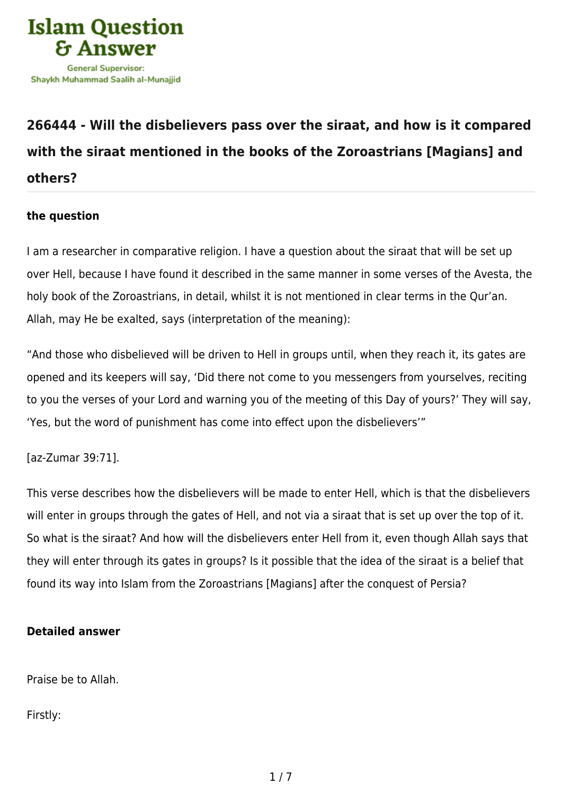

## **[266444 - Will the disbelievers pass over the siraat, and how is it compared](https://islamqa.com/en/answers/266444/will-the-disbelievers-pass-over-the-siraat-and-how-is-it-compared-with-the-siraat-mentioned-in-the-books-of-the-zoroastrians-magians-and-others) [with the siraat mentioned in the books of the Zoroastrians \[Magians\] and](https://islamqa.com/en/answers/266444/will-the-disbelievers-pass-over-the-siraat-and-how-is-it-compared-with-the-siraat-mentioned-in-the-books-of-the-zoroastrians-magians-and-others) [others?](https://islamqa.com/en/answers/266444/will-the-disbelievers-pass-over-the-siraat-and-how-is-it-compared-with-the-siraat-mentioned-in-the-books-of-the-zoroastrians-magians-and-others)**

## **the question**

I am a researcher in comparative religion. I have a question about the siraat that will be set up over Hell, because I have found it described in the same manner in some verses of the Avesta, the holy book of the Zoroastrians, in detail, whilst it is not mentioned in clear terms in the Qur'an. Allah, may He be exalted, says (interpretation of the meaning):

"And those who disbelieved will be driven to Hell in groups until, when they reach it, its gates are opened and its keepers will say, 'Did there not come to you messengers from yourselves, reciting to you the verses of your Lord and warning you of the meeting of this Day of yours?' They will say, 'Yes, but the word of punishment has come into effect upon the disbelievers'"

[az-Zumar 39:71].

This verse describes how the disbelievers will be made to enter Hell, which is that the disbelievers will enter in groups through the gates of Hell, and not via a siraat that is set up over the top of it. So what is the siraat? And how will the disbelievers enter Hell from it, even though Allah says that they will enter through its gates in groups? Is it possible that the idea of the siraat is a belief that found its way into Islam from the Zoroastrians [Magians] after the conquest of Persia?

## **Detailed answer**

Praise be to Allah.

Firstly: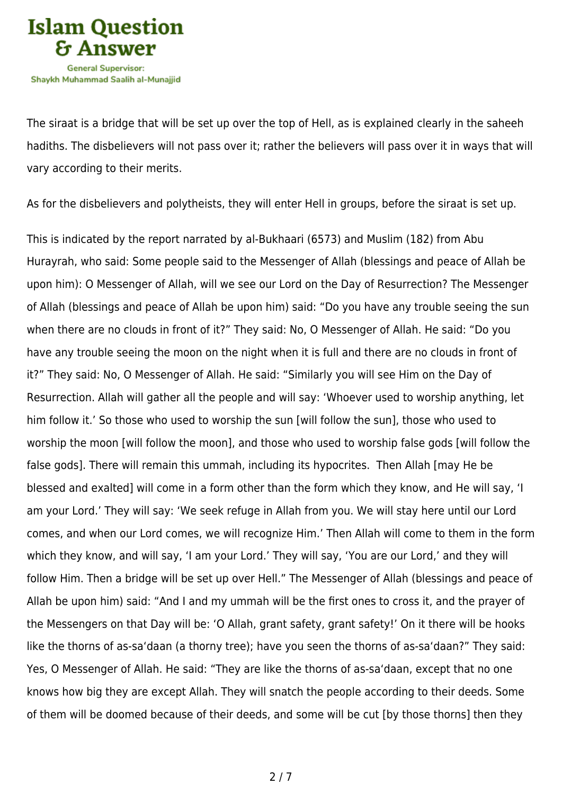

The siraat is a bridge that will be set up over the top of Hell, as is explained clearly in the saheeh hadiths. The disbelievers will not pass over it; rather the believers will pass over it in ways that will vary according to their merits.

As for the disbelievers and polytheists, they will enter Hell in groups, before the siraat is set up.

This is indicated by the report narrated by al-Bukhaari (6573) and Muslim (182) from Abu Hurayrah, who said: Some people said to the Messenger of Allah (blessings and peace of Allah be upon him): O Messenger of Allah, will we see our Lord on the Day of Resurrection? The Messenger of Allah (blessings and peace of Allah be upon him) said: "Do you have any trouble seeing the sun when there are no clouds in front of it?" They said: No, O Messenger of Allah. He said: "Do you have any trouble seeing the moon on the night when it is full and there are no clouds in front of it?" They said: No, O Messenger of Allah. He said: "Similarly you will see Him on the Day of Resurrection. Allah will gather all the people and will say: 'Whoever used to worship anything, let him follow it.' So those who used to worship the sun [will follow the sun], those who used to worship the moon [will follow the moon], and those who used to worship false gods [will follow the false gods]. There will remain this ummah, including its hypocrites. Then Allah [may He be blessed and exalted] will come in a form other than the form which they know, and He will say, 'I am your Lord.' They will say: 'We seek refuge in Allah from you. We will stay here until our Lord comes, and when our Lord comes, we will recognize Him.' Then Allah will come to them in the form which they know, and will say, 'I am your Lord.' They will say, 'You are our Lord,' and they will follow Him. Then a bridge will be set up over Hell." The Messenger of Allah (blessings and peace of Allah be upon him) said: "And I and my ummah will be the first ones to cross it, and the prayer of the Messengers on that Day will be: 'O Allah, grant safety, grant safety!' On it there will be hooks like the thorns of as-sa'daan (a thorny tree); have you seen the thorns of as-sa'daan?" They said: Yes, O Messenger of Allah. He said: "They are like the thorns of as-sa'daan, except that no one knows how big they are except Allah. They will snatch the people according to their deeds. Some of them will be doomed because of their deeds, and some will be cut [by those thorns] then they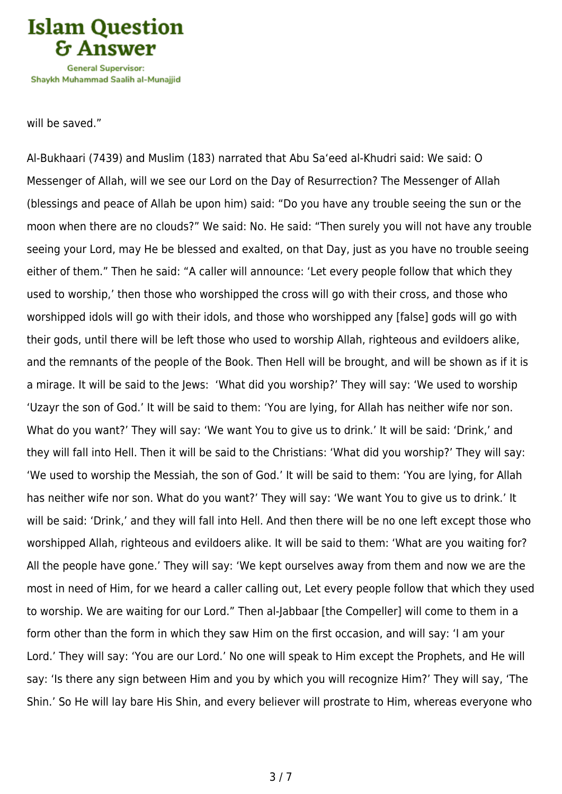

will be saved."

Al-Bukhaari (7439) and Muslim (183) narrated that Abu Sa'eed al-Khudri said: We said: O Messenger of Allah, will we see our Lord on the Day of Resurrection? The Messenger of Allah (blessings and peace of Allah be upon him) said: "Do you have any trouble seeing the sun or the moon when there are no clouds?" We said: No. He said: "Then surely you will not have any trouble seeing your Lord, may He be blessed and exalted, on that Day, just as you have no trouble seeing either of them." Then he said: "A caller will announce: 'Let every people follow that which they used to worship,' then those who worshipped the cross will go with their cross, and those who worshipped idols will go with their idols, and those who worshipped any [false] gods will go with their gods, until there will be left those who used to worship Allah, righteous and evildoers alike, and the remnants of the people of the Book. Then Hell will be brought, and will be shown as if it is a mirage. It will be said to the Jews: 'What did you worship?' They will say: 'We used to worship 'Uzayr the son of God.' It will be said to them: 'You are lying, for Allah has neither wife nor son. What do you want?' They will say: 'We want You to give us to drink.' It will be said: 'Drink,' and they will fall into Hell. Then it will be said to the Christians: 'What did you worship?' They will say: 'We used to worship the Messiah, the son of God.' It will be said to them: 'You are lying, for Allah has neither wife nor son. What do you want?' They will say: 'We want You to give us to drink.' It will be said: 'Drink,' and they will fall into Hell. And then there will be no one left except those who worshipped Allah, righteous and evildoers alike. It will be said to them: 'What are you waiting for? All the people have gone.' They will say: 'We kept ourselves away from them and now we are the most in need of Him, for we heard a caller calling out, Let every people follow that which they used to worship. We are waiting for our Lord." Then al-Jabbaar [the Compeller] will come to them in a form other than the form in which they saw Him on the first occasion, and will say: 'I am your Lord.' They will say: 'You are our Lord.' No one will speak to Him except the Prophets, and He will say: 'Is there any sign between Him and you by which you will recognize Him?' They will say, 'The Shin.' So He will lay bare His Shin, and every believer will prostrate to Him, whereas everyone who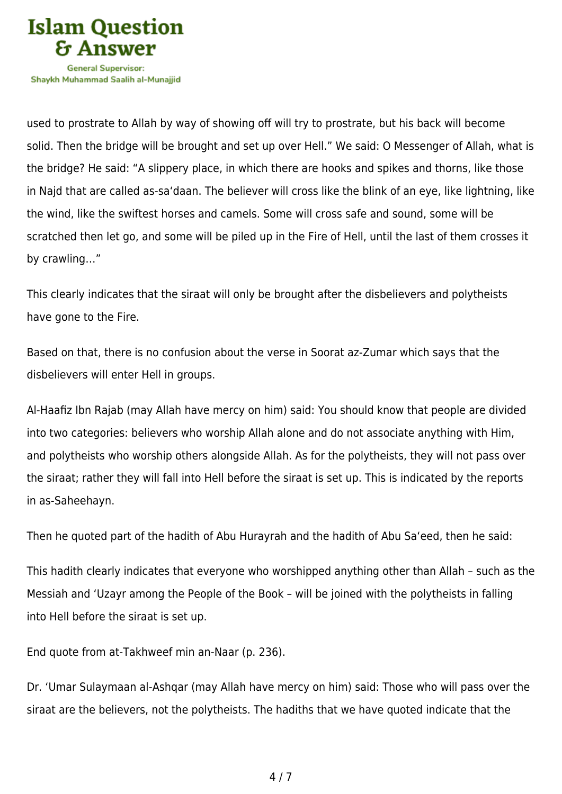

used to prostrate to Allah by way of showing off will try to prostrate, but his back will become solid. Then the bridge will be brought and set up over Hell." We said: O Messenger of Allah, what is the bridge? He said: "A slippery place, in which there are hooks and spikes and thorns, like those in Najd that are called as-sa'daan. The believer will cross like the blink of an eye, like lightning, like the wind, like the swiftest horses and camels. Some will cross safe and sound, some will be scratched then let go, and some will be piled up in the Fire of Hell, until the last of them crosses it by crawling…"

This clearly indicates that the siraat will only be brought after the disbelievers and polytheists have gone to the Fire.

Based on that, there is no confusion about the verse in Soorat az-Zumar which says that the disbelievers will enter Hell in groups.

Al-Haafiz Ibn Rajab (may Allah have mercy on him) said: You should know that people are divided into two categories: believers who worship Allah alone and do not associate anything with Him, and polytheists who worship others alongside Allah. As for the polytheists, they will not pass over the siraat; rather they will fall into Hell before the siraat is set up. This is indicated by the reports in as-Saheehayn.

Then he quoted part of the hadith of Abu Hurayrah and the hadith of Abu Sa'eed, then he said:

This hadith clearly indicates that everyone who worshipped anything other than Allah – such as the Messiah and 'Uzayr among the People of the Book – will be joined with the polytheists in falling into Hell before the siraat is set up.

End quote from at-Takhweef min an-Naar (p. 236).

Dr. 'Umar Sulaymaan al-Ashqar (may Allah have mercy on him) said: Those who will pass over the siraat are the believers, not the polytheists. The hadiths that we have quoted indicate that the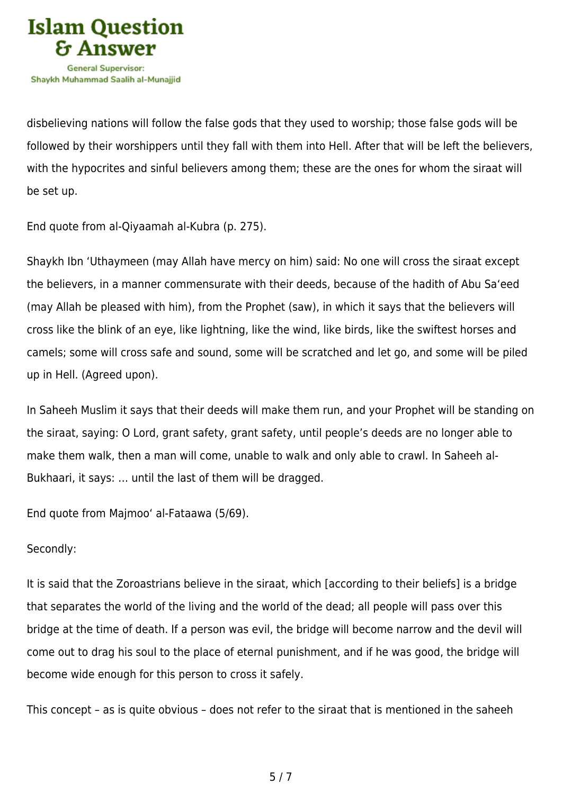

disbelieving nations will follow the false gods that they used to worship; those false gods will be followed by their worshippers until they fall with them into Hell. After that will be left the believers, with the hypocrites and sinful believers among them; these are the ones for whom the siraat will be set up.

End quote from al-Qiyaamah al-Kubra (p. 275).

Shaykh Ibn 'Uthaymeen (may Allah have mercy on him) said: No one will cross the siraat except the believers, in a manner commensurate with their deeds, because of the hadith of Abu Sa'eed (may Allah be pleased with him), from the Prophet (saw), in which it says that the believers will cross like the blink of an eye, like lightning, like the wind, like birds, like the swiftest horses and camels; some will cross safe and sound, some will be scratched and let go, and some will be piled up in Hell. (Agreed upon).

In Saheeh Muslim it says that their deeds will make them run, and your Prophet will be standing on the siraat, saying: O Lord, grant safety, grant safety, until people's deeds are no longer able to make them walk, then a man will come, unable to walk and only able to crawl. In Saheeh al-Bukhaari, it says: … until the last of them will be dragged.

End quote from Majmoo' al-Fataawa (5/69).

## Secondly:

It is said that the Zoroastrians believe in the siraat, which [according to their beliefs] is a bridge that separates the world of the living and the world of the dead; all people will pass over this bridge at the time of death. If a person was evil, the bridge will become narrow and the devil will come out to drag his soul to the place of eternal punishment, and if he was good, the bridge will become wide enough for this person to cross it safely.

This concept – as is quite obvious – does not refer to the siraat that is mentioned in the saheeh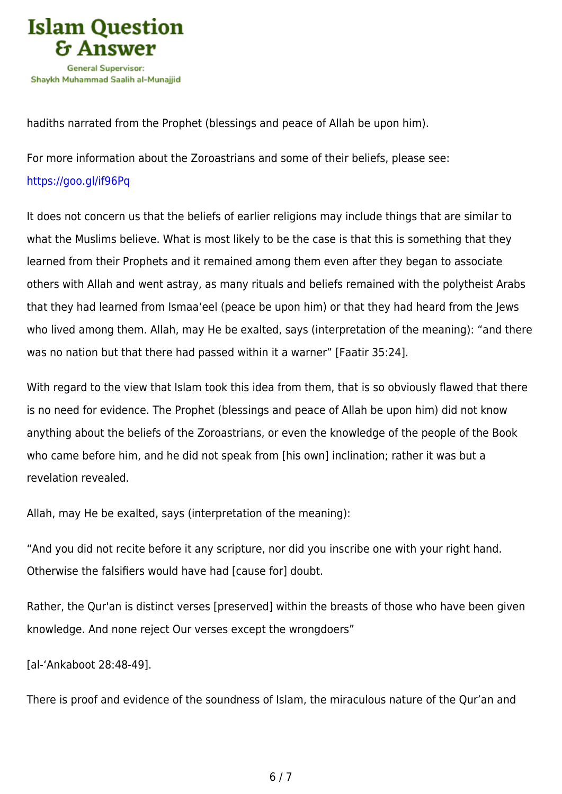

hadiths narrated from the Prophet (blessings and peace of Allah be upon him).

For more information about the Zoroastrians and some of their beliefs, please see: <https://goo.gl/if96Pq>

It does not concern us that the beliefs of earlier religions may include things that are similar to what the Muslims believe. What is most likely to be the case is that this is something that they learned from their Prophets and it remained among them even after they began to associate others with Allah and went astray, as many rituals and beliefs remained with the polytheist Arabs that they had learned from Ismaa'eel (peace be upon him) or that they had heard from the Jews who lived among them. Allah, may He be exalted, says (interpretation of the meaning): "and there was no nation but that there had passed within it a warner" [Faatir 35:24].

With regard to the view that Islam took this idea from them, that is so obviously flawed that there is no need for evidence. The Prophet (blessings and peace of Allah be upon him) did not know anything about the beliefs of the Zoroastrians, or even the knowledge of the people of the Book who came before him, and he did not speak from [his own] inclination; rather it was but a revelation revealed.

Allah, may He be exalted, says (interpretation of the meaning):

"And you did not recite before it any scripture, nor did you inscribe one with your right hand. Otherwise the falsifiers would have had [cause for] doubt.

Rather, the Qur'an is distinct verses [preserved] within the breasts of those who have been given knowledge. And none reject Our verses except the wrongdoers"

[al-'Ankaboot 28:48-49].

There is proof and evidence of the soundness of Islam, the miraculous nature of the Qur'an and